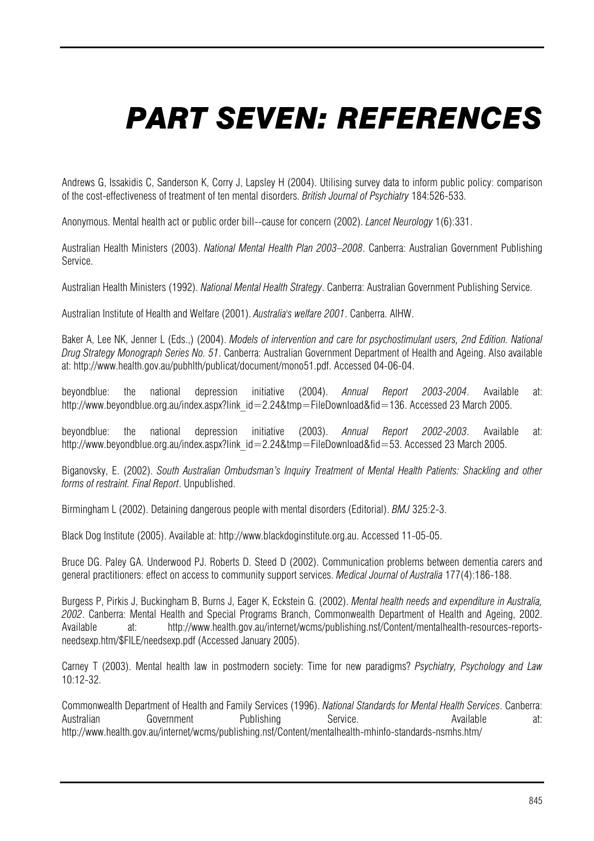## *PART SEVEN: REFERENCES*

 Andrews G, Issakidis C, Sanderson K, Corry J, Lapsley H (2004). Utilising survey data to inform public policy: comparison of the cost-effectiveness of treatment of ten mental disorders. *British Journal of Psychiatry* 184:526-533.

Anonymous. Mental health act or public order bill--cause for concern (2002). *Lancet Neurology* 1(6):331.

Australian Health Ministers (2003). *National Mental Health Plan 2003–2008*. Canberra: Australian Government Publishing Service.

Australian Health Ministers (1992). *National Mental Health Strategy*. Canberra: Australian Government Publishing Service.

Australian Institute of Health and Welfare (2001). *Australia's welfare 2001*. Canberra. AIHW.

Baker A, Lee NK, Jenner L (Eds.,) (2004). *Models of intervention and care for psychostimulant users, 2nd Edition. National Drug Strategy Monograph Series No. 51*. Canberra: Australian Government Department of Health and Ageing. Also available at: http://www.health.gov.au/pubhlth/publicat/document/mono51.pdf. Accessed 04-06-04.

beyondblue: the national depression initiative (2004). *Annual Report 2003-2004*. Available at: http://www.beyondblue.org.au/index.aspx?link\_id=2.24&tmp=FileDownload&fid=136. Accessed 23 March 2005.

beyondblue: the national depression initiative (2003). *Annual Report 2002-2003*. Available at: http://www.beyondblue.org.au/index.aspx?link\_id=2.24&tmp=FileDownload&fid=53. Accessed 23 March 2005.

Biganovsky, E. (2002). *South Australian Ombudsman's Inquiry Treatment of Mental Health Patients: Shackling and other forms of restraint. Final Report*. Unpublished.

Birmingham L (2002). Detaining dangerous people with mental disorders (Editorial). *BMJ* 325:2-3.

Black Dog Institute (2005). Available at: http://www.blackdoginstitute.org.au. Accessed 11-05-05.

Bruce DG. Paley GA. Underwood PJ. Roberts D. Steed D (2002). Communication problems between dementia carers and general practitioners: effect on access to community support services. *Medical Journal of Australia* 177(4):186-188.

Burgess P, Pirkis J, Buckingham B, Burns J, Eager K, Eckstein G. (2002). *Mental health needs and expenditure in Australia, 2002*. Canberra: Mental Health and Special Programs Branch, Commonwealth Department of Health and Ageing, 2002. Available at: http://www.health.gov.au/internet/wcms/publishing.nsf/Content/mentalhealth-resources-reportsneedsexp.htm/\$FILE/needsexp.pdf (Accessed January 2005).

Carney T (2003). Mental health law in postmodern society: Time for new paradigms? *Psychiatry, Psychology and Law*  10:12-32.

Commonwealth Department of Health and Family Services (1996). *National Standards for Mental Health Services*. Canberra: Australian Government Publishing Service. Available at: http://www.health.gov.au/internet/wcms/publishing.nsf/Content/mentalhealth-mhinfo-standards-nsmhs.htm/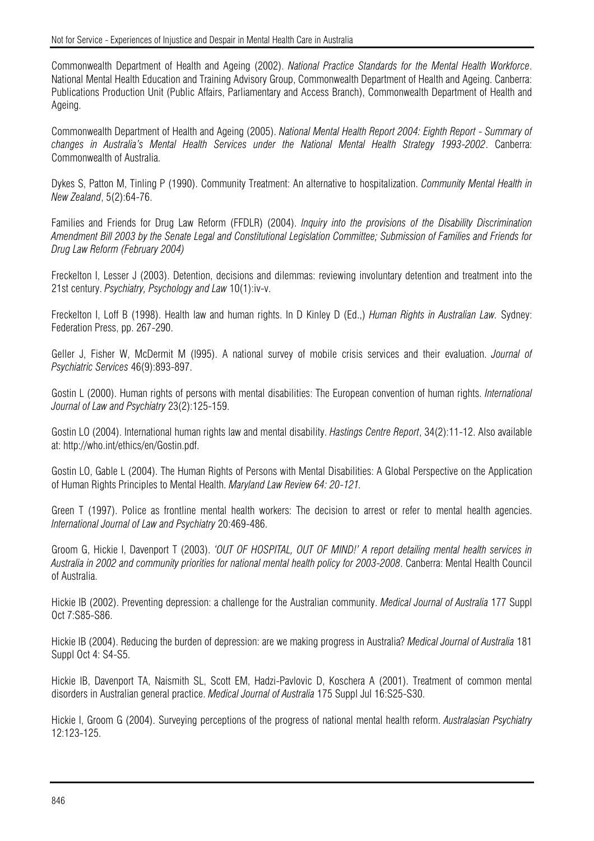Commonwealth Department of Health and Ageing (2002). *National Practice Standards for the Mental Health Workforce*. National Mental Health Education and Training Advisory Group, Commonwealth Department of Health and Ageing. Canberra: Publications Production Unit (Public Affairs, Parliamentary and Access Branch), Commonwealth Department of Health and Ageing.

Commonwealth Department of Health and Ageing (2005). *National Mental Health Report 2004: Eighth Report - Summary of changes in Australia's Mental Health Services under the National Mental Health Strategy 1993-2002*. Canberra: Commonwealth of Australia.

Dykes S, Patton M, Tinling P (1990). Community Treatment: An alternative to hospitalization. *Community Mental Health in New Zealand*, 5(2):64-76.

Families and Friends for Drug Law Reform (FFDLR) (2004). *Inquiry into the provisions of the Disability Discrimination Amendment Bill 2003 by the Senate Legal and Constitutional Legislation Committee; Submission of Families and Friends for Drug Law Reform (February 2004)* 

Freckelton I, Lesser J (2003). Detention, decisions and dilemmas: reviewing involuntary detention and treatment into the 21st century. *Psychiatry, Psychology and Law* 10(1):iv-v.

Freckelton I, Loff B (1998). Health law and human rights. In D Kinley D (Ed.,) *Human Rights in Australian Law.* Sydney: Federation Press, pp. 267-290.

Geller J, Fisher W, McDermit M (l995). A national survey of mobile crisis services and their evaluation. *Journal of Psychiatric Services* 46(9):893-897.

Gostin L (2000). Human rights of persons with mental disabilities: The European convention of human rights. *International Journal of Law and Psychiatry* 23(2):125-159.

Gostin LO (2004). International human rights law and mental disability. *Hastings Centre Report*, 34(2):11-12. Also available at: http://who.int/ethics/en/Gostin.pdf.

Gostin LO, Gable L (2004). The Human Rights of Persons with Mental Disabilities: A Global Perspective on the Application of Human Rights Principles to Mental Health. *Maryland Law Review 64: 20-121.*

Green T (1997). Police as frontline mental health workers: The decision to arrest or refer to mental health agencies. *International Journal of Law and Psychiatry* 20:469-486.

Groom G, Hickie I, Davenport T (2003). *'OUT OF HOSPITAL, OUT OF MIND!' A report detailing mental health services in Australia in 2002 and community priorities for national mental health policy for 2003-2008*. Canberra: Mental Health Council of Australia.

Hickie IB (2002). Preventing depression: a challenge for the Australian community. *Medical Journal of Australia* 177 Suppl Oct 7:S85-S86.

Hickie IB (2004). Reducing the burden of depression: are we making progress in Australia? *Medical Journal of Australia* 181 Suppl Oct 4: S4-S5.

Hickie IB, Davenport TA, Naismith SL, Scott EM, Hadzi-Pavlovic D, Koschera A (2001). Treatment of common mental disorders in Australian general practice. *Medical Journal of Australia* 175 Suppl Jul 16:S25-S30.

Hickie I, Groom G (2004). Surveying perceptions of the progress of national mental health reform. *Australasian Psychiatry*  12:123-125.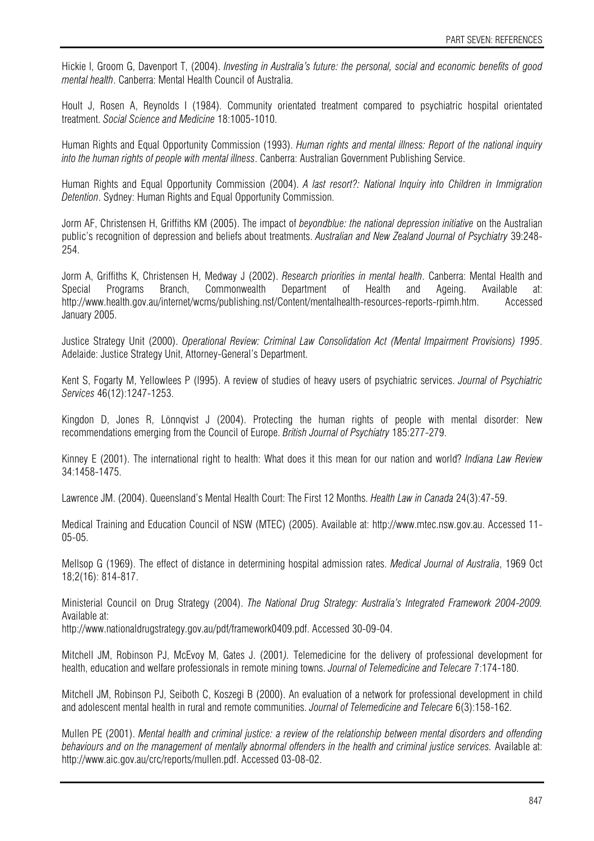Hickie I, Groom G, Davenport T, (2004). *Investing in Australia's future: the personal, social and economic benefits of good mental health*. Canberra: Mental Health Council of Australia.

Hoult J, Rosen A, Reynolds I (1984). Community orientated treatment compared to psychiatric hospital orientated treatment. *Social Science and Medicine* 18:1005-1010.

Human Rights and Equal Opportunity Commission (1993). *Human rights and mental illness: Report of the national inquiry into the human rights of people with mental illness*. Canberra: Australian Government Publishing Service.

Human Rights and Equal Opportunity Commission (2004). *A last resort?: National Inquiry into Children in Immigration Detention*. Sydney: Human Rights and Equal Opportunity Commission.

Jorm AF, Christensen H, Griffiths KM (2005). The impact of *beyondblue: the national depression initiative* on the Australian public's recognition of depression and beliefs about treatments. *Australian and New Zealand Journal of Psychiatry* 39:248- 254.

Jorm A, Griffiths K, Christensen H, Medway J (2002). *Research priorities in mental health*. Canberra: Mental Health and Special Programs Branch, Commonwealth Department of Health and Ageing. Available at: http://www.health.gov.au/internet/wcms/publishing.nsf/Content/mentalhealth-resources-reports-rpimh.htm. Accessed January 2005.

Justice Strategy Unit (2000). *Operational Review: Criminal Law Consolidation Act (Mental Impairment Provisions) 1995*. Adelaide: Justice Strategy Unit, Attorney-General's Department.

Kent S, Fogarty M, Yellowlees P (l995). A review of studies of heavy users of psychiatric services. *Journal of Psychiatric Services* 46(12):1247-1253.

Kingdon D, Jones R, Lönnqvist J (2004). Protecting the human rights of people with mental disorder: New recommendations emerging from the Council of Europe. *British Journal of Psychiatry* 185:277-279.

Kinney E (2001). The international right to health: What does it this mean for our nation and world? *Indiana Law Review* 34:1458-1475.

Lawrence JM. (2004). Queensland's Mental Health Court: The First 12 Months. *Health Law in Canada* 24(3):47-59.

Medical Training and Education Council of NSW (MTEC) (2005). Available at: http://www.mtec.nsw.gov.au. Accessed 11- 05-05.

Mellsop G (1969). The effect of distance in determining hospital admission rates. *Medical Journal of Australia*, 1969 Oct 18;2(16): 814-817.

Ministerial Council on Drug Strategy (2004). *The National Drug Strategy: Australia's Integrated Framework 2004-2009.*  Available at:

http://www.nationaldrugstrategy.gov.au/pdf/framework0409.pdf. Accessed 30-09-04.

Mitchell JM, Robinson PJ, McEvoy M, Gates J. (2001*).* Telemedicine for the delivery of professional development for health, education and welfare professionals in remote mining towns. *Journal of Telemedicine and Telecare* 7:174-180.

Mitchell JM, Robinson PJ, Seiboth C, Koszegi B (2000). An evaluation of a network for professional development in child and adolescent mental health in rural and remote communities. *Journal of Telemedicine and Telecare* 6(3):158-162.

Mullen PE (2001). *Mental health and criminal justice: a review of the relationship between mental disorders and offending*  behaviours and on the management of mentally abnormal offenders in the health and criminal justice services. Available at: http://www.aic.gov.au/crc/reports/mullen.pdf. Accessed 03-08-02.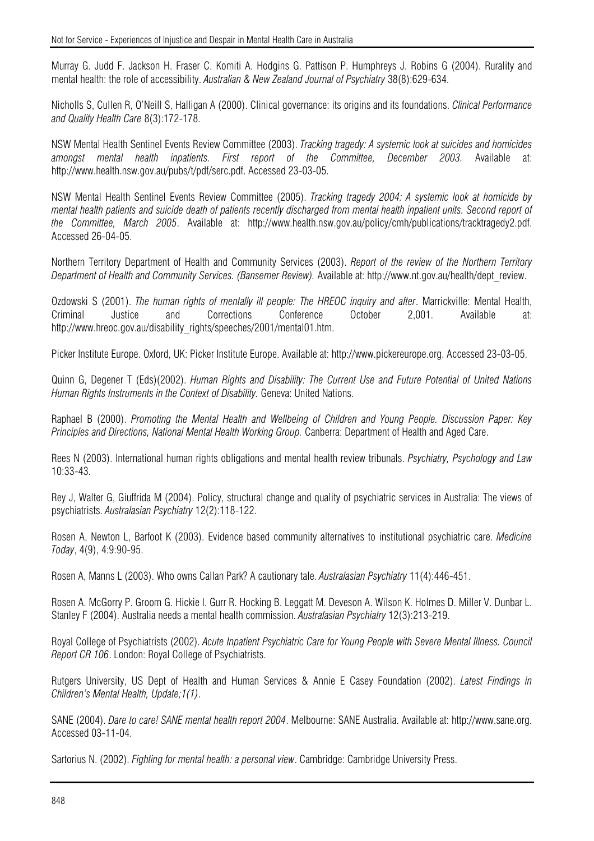Murray G. Judd F. Jackson H. Fraser C. Komiti A. Hodgins G. Pattison P. Humphreys J. Robins G (2004). Rurality and mental health: the role of accessibility. *Australian & New Zealand Journal of Psychiatry* 38(8):629-634.

Nicholls S, Cullen R, O'Neill S, Halligan A (2000). Clinical governance: its origins and its foundations. *Clinical Performance and Quality Health Care* 8(3):172-178.

NSW Mental Health Sentinel Events Review Committee (2003). *Tracking tragedy: A systemic look at suicides and homicides amongst mental health inpatients. First report of the Committee, December 2003.* Available at: http://www.health.nsw.gov.au/pubs/t/pdf/serc.pdf. Accessed 23-03-05.

NSW Mental Health Sentinel Events Review Committee (2005). *Tracking tragedy 2004: A systemic look at homicide by mental health patients and suicide death of patients recently discharged from mental health inpatient units. Second report of the Committee, March 2005*. Available at: http://www.health.nsw.gov.au/policy/cmh/publications/tracktragedy2.pdf. Accessed 26-04-05.

Northern Territory Department of Health and Community Services (2003). *Report of the review of the Northern Territory Department of Health and Community Services. (Bansemer Review).* Available at: http://www.nt.gov.au/health/dept\_review.

Ozdowski S (2001). *The human rights of mentally ill people: The HREOC inquiry and after*. Marrickville: Mental Health, Criminal Justice and Corrections Conference October 2,001. Available at: http://www.hreoc.gov.au/disability\_rights/speeches/2001/mental01.htm.

Picker Institute Europe. Oxford, UK: Picker Institute Europe. Available at: http://www.pickereurope.org. Accessed 23-03-05.

Quinn G, Degener T (Eds)(2002). *Human Rights and Disability: The Current Use and Future Potential of United Nations Human Rights Instruments in the Context of Disability.* Geneva: United Nations.

Raphael B (2000). *Promoting the Mental Health and Wellbeing of Children and Young People. Discussion Paper: Key Principles and Directions, National Mental Health Working Group.* Canberra: Department of Health and Aged Care.

Rees N (2003). International human rights obligations and mental health review tribunals. *Psychiatry, Psychology and Law* 10:33-43.

Rey J, Walter G, Giuffrida M (2004). Policy, structural change and quality of psychiatric services in Australia: The views of psychiatrists. *Australasian Psychiatry* 12(2):118-122.

Rosen A, Newton L, Barfoot K (2003). Evidence based community alternatives to institutional psychiatric care. *Medicine Today*, 4(9), 4:9:90-95.

Rosen A, Manns L (2003). Who owns Callan Park? A cautionary tale. *Australasian Psychiatry* 11(4):446-451.

Rosen A. McGorry P. Groom G. Hickie I. Gurr R. Hocking B. Leggatt M. Deveson A. Wilson K. Holmes D. Miller V. Dunbar L. Stanley F (2004). Australia needs a mental health commission. *Australasian Psychiatry* 12(3):213-219.

Royal College of Psychiatrists (2002). *Acute Inpatient Psychiatric Care for Young People with Severe Mental Illness. Council Report CR 106*. London: Royal College of Psychiatrists.

Rutgers University, US Dept of Health and Human Services & Annie E Casey Foundation (2002). *Latest Findings in Children's Mental Health, Update;1(1)*.

SANE (2004). *Dare to care! SANE mental health report 2004*. Melbourne: SANE Australia. Available at: http://www.sane.org. Accessed 03-11-04.

Sartorius N. (2002). *Fighting for mental health: a personal view*. Cambridge: Cambridge University Press.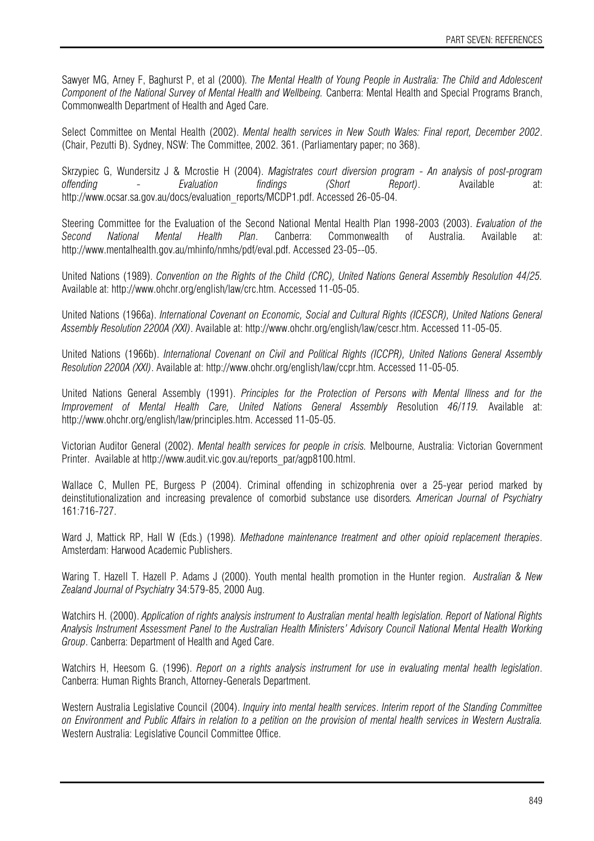Sawyer MG, Arney F, Baghurst P, et al (2000)*. The Mental Health of Young People in Australia: The Child and Adolescent Component of the National Survey of Mental Health and Wellbeing.* Canberra: Mental Health and Special Programs Branch, Commonwealth Department of Health and Aged Care.

Select Committee on Mental Health (2002). *Mental health services in New South Wales: Final report, December 2002*. (Chair, Pezutti B). Sydney, NSW: The Committee, 2002. 361. (Parliamentary paper; no 368).

Skrzypiec G, Wundersitz J & Mcrostie H (2004). *Magistrates court diversion program - An analysis of post-program offending - Evaluation findings (Short Report)*. Available at: http://www.ocsar.sa.gov.au/docs/evaluation\_reports/MCDP1.pdf. Accessed 26-05-04.

Steering Committee for the Evaluation of the Second National Mental Health Plan 1998-2003 (2003). *Evaluation of the Second National Mental Health Plan*. Canberra: Commonwealth of Australia. Available at: http://www.mentalhealth.gov.au/mhinfo/nmhs/pdf/eval.pdf. Accessed 23-05--05.

United Nations (1989). *Convention on the Rights of the Child (CRC), United Nations General Assembly Resolution 44/25.*  Available at: http://www.ohchr.org/english/law/crc.htm. Accessed 11-05-05.

United Nations (1966a). *International Covenant on Economic, Social and Cultural Rights (ICESCR), United Nations General Assembly Resolution 2200A (XXI)*. Available at: http://www.ohchr.org/english/law/cescr.htm. Accessed 11-05-05.

United Nations (1966b). *International Covenant on Civil and Political Rights (ICCPR), United Nations General Assembly Resolution 2200A (XXI)*. Available at: http://www.ohchr.org/english/law/ccpr.htm. Accessed 11-05-05.

United Nations General Assembly (1991). *Principles for the Protection of Persons with Mental Illness and for the Improvement of Mental Health Care, United Nations General Assembly R*esolution *46/119.* Available at: http://www.ohchr.org/english/law/principles.htm. Accessed 11-05-05.

Victorian Auditor General (2002). *Mental health services for people in crisis.* Melbourne, Australia: Victorian Government Printer. Available at http://www.audit.vic.gov.au/reports\_par/agp8100.html.

Wallace C, Mullen PE, Burgess P (2004). Criminal offending in schizophrenia over a 25-year period marked by deinstitutionalization and increasing prevalence of comorbid substance use disorders*. American Journal of Psychiatry*  161:716-727.

Ward J, Mattick RP, Hall W (Eds.) (1998)*. Methadone maintenance treatment and other opioid replacement therapies*. Amsterdam: Harwood Academic Publishers.

Waring T. Hazell T. Hazell P. Adams J (2000). Youth mental health promotion in the Hunter region. *Australian & New Zealand Journal of Psychiatry* 34:579-85, 2000 Aug.

Watchirs H. (2000). *Application of rights analysis instrument to Australian mental health legislation. Report of National Rights Analysis Instrument Assessment Panel to the Australian Health Ministers' Advisory Council National Mental Health Working Group*. Canberra: Department of Health and Aged Care.

Watchirs H, Heesom G. (1996). *Report on a rights analysis instrument for use in evaluating mental health legislation*. Canberra: Human Rights Branch, Attorney-Generals Department.

Western Australia Legislative Council (2004). *Inquiry into mental health services*. *Interim report of the Standing Committee on Environment and Public Affairs in relation to a petition on the provision of mental health services in Western Australia.*  Western Australia: Legislative Council Committee Office.